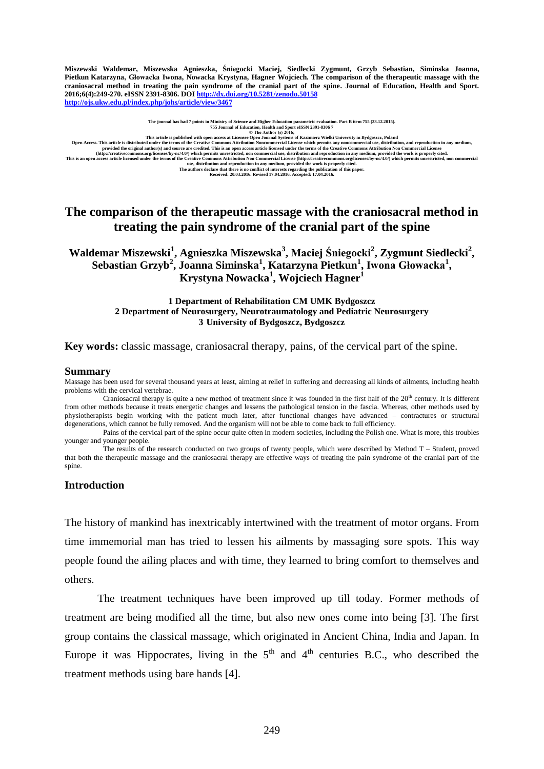**Miszewski Waldemar, Miszewska Agnieszka, Śniegocki Maciej, Siedlecki Zygmunt, Grzyb Sebastian, Siminska Joanna, Pietkun Katarzyna, Głowacka Iwona, Nowacka Krystyna, Hagner Wojciech. The comparison of the therapeutic massage with the craniosacral method in treating the pain syndrome of the cranial part of the spine. Journal of Education, Health and Sport. 2016;6(4):249-270. eISSN 2391-8306. DO[I http://dx.doi.org/10.5281/zenodo.50158](http://dx.doi.org/10.5281/zenodo.50158) <http://ojs.ukw.edu.pl/index.php/johs/article/view/3467>**

**The journal has had 7 points in Ministry of Science and Higher Education parametric evaluation. Part B item 755 (23.12.2015).**

This article is published with open access at License Open Author (s) 2016;<br>
The Author (s) 2016;<br>
OTE Author (s) 2016;<br>
OTE Author (s) 2016;<br>
OTE Author (s) 2016;<br>
OTE Author (s) 2016;<br>
OTE Author (s) 2016;<br>
OTE Author (

# **The comparison of the therapeutic massage with the craniosacral method in treating the pain syndrome of the cranial part of the spine**

**[Waldemar Miszewski](mailto:maswal@wp.pl)<sup>1</sup> , [Agnieszka Miszewska](mailto:maswal1@wp.pl)<sup>3</sup> , [Maciej Śniegocki](mailto:sniegol@wp.pl)<sup>2</sup> , [Zygmunt](mailto:zs79@wp.pl) Siedlecki<sup>2</sup> , [Sebastian Grzyb](mailto:sebgrzyb@interia.pl)<sup>2</sup> , [Joanna Siminska](mailto:asia_siminska@interia.pl)<sup>1</sup> , [Katarzyna Pietkun](mailto:pietkasia@wp.pl)<sup>1</sup> , Iwona Głowacka<sup>1</sup> , [Krystyna](mailto:k.nowacka1@o2.pl) Nowacka<sup>1</sup> , [Wojciech Hagner](mailto:w.hagner@wp.pl)<sup>1</sup>**

### **1 Department of Rehabilitation CM UMK Bydgoszcz 2 Department of Neurosurgery, Neurotraumatology and Pediatric Neurosurgery 3 University of Bydgoszcz, Bydgoszcz**

**Key words:** classic massage, craniosacral therapy, pains, of the cervical part of the spine.

#### **Summary**

Massage has been used for several thousand years at least, aiming at relief in suffering and decreasing all kinds of ailments, including health problems with the cervical vertebrae.

Craniosacral therapy is quite a new method of treatment since it was founded in the first half of the 20<sup>th</sup> century. It is different from other methods because it treats energetic changes and lessens the pathological tension in the fascia. Whereas, other methods used by physiotherapists begin working with the patient much later, after functional changes have advanced – contractures or structural degenerations, which cannot be fully removed. And the organism will not be able to come back to full efficiency.

Pains of the cervical part of the spine occur quite often in modern societies, including the Polish one. What is more, this troubles younger and younger people.

The results of the research conducted on two groups of twenty people, which were described by Method T – Student, proved that both the therapeutic massage and the craniosacral therapy are effective ways of treating the pain syndrome of the cranial part of the spine.

### **Introduction**

The history of mankind has inextricably intertwined with the treatment of motor organs. From time immemorial man has tried to lessen his ailments by massaging sore spots. This way people found the ailing places and with time, they learned to bring comfort to themselves and others.

The treatment techniques have been improved up till today. Former methods of treatment are being modified all the time, but also new ones come into being [3]. The first group contains the classical massage, which originated in Ancient China, India and Japan. In Europe it was Hippocrates, living in the  $5<sup>th</sup>$  and  $4<sup>th</sup>$  centuries B.C., who described the treatment methods using bare hands [4].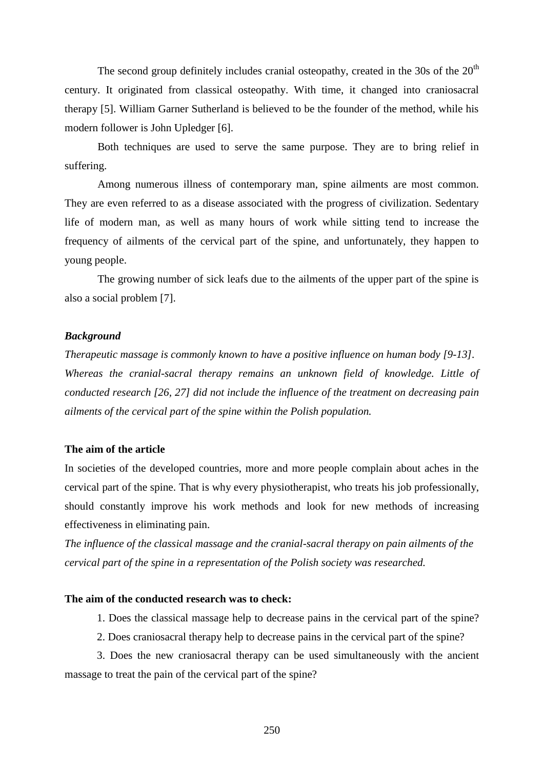The second group definitely includes cranial osteopathy, created in the 30s of the  $20<sup>th</sup>$ century. It originated from classical osteopathy. With time, it changed into craniosacral therapy [5]. William Garner Sutherland is believed to be the founder of the method, while his modern follower is John Upledger [6].

Both techniques are used to serve the same purpose. They are to bring relief in suffering.

Among numerous illness of contemporary man, spine ailments are most common. They are even referred to as a disease associated with the progress of civilization. Sedentary life of modern man, as well as many hours of work while sitting tend to increase the frequency of ailments of the cervical part of the spine, and unfortunately, they happen to young people.

The growing number of sick leafs due to the ailments of the upper part of the spine is also a social problem [7].

### *Background*

*Therapeutic massage is commonly known to have a positive influence on human body [9-13].*  Whereas the cranial-sacral therapy remains an unknown field of knowledge. Little of *conducted research [26, 27] did not include the influence of the treatment on decreasing pain ailments of the cervical part of the spine within the Polish population.*

### **The aim of the article**

In societies of the developed countries, more and more people complain about aches in the cervical part of the spine. That is why every physiotherapist, who treats his job professionally, should constantly improve his work methods and look for new methods of increasing effectiveness in eliminating pain.

*The influence of the classical massage and the cranial-sacral therapy on pain ailments of the cervical part of the spine in a representation of the Polish society was researched.*

# **The aim of the conducted research was to check:**

- 1. Does the classical massage help to decrease pains in the cervical part of the spine?
- 2. Does craniosacral therapy help to decrease pains in the cervical part of the spine?

3. Does the new craniosacral therapy can be used simultaneously with the ancient massage to treat the pain of the cervical part of the spine?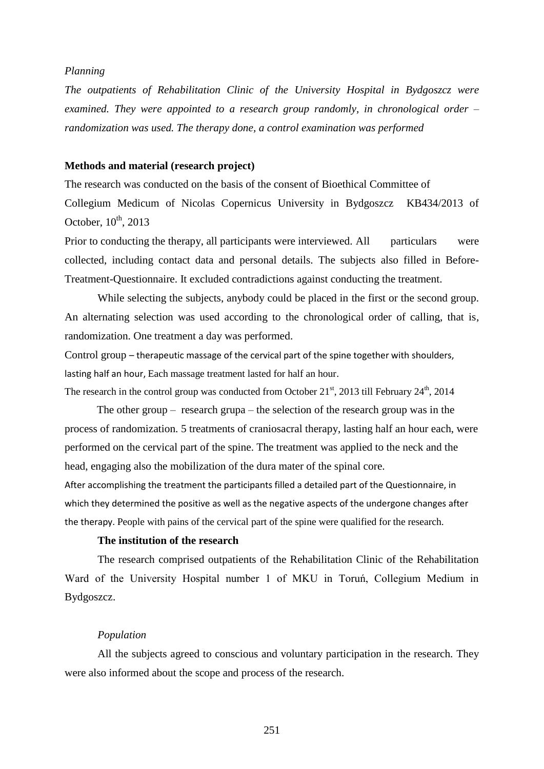### *Planning*

*The outpatients of Rehabilitation Clinic of the University Hospital in Bydgoszcz were examined. They were appointed to a research group randomly, in chronological order – randomization was used. The therapy done, a control examination was performed*

## **Methods and material (research project)**

The research was conducted on the basis of the consent of Bioethical Committee of Collegium Medicum of Nicolas Copernicus University in Bydgoszcz KB434/2013 of October,  $10^{th}$ , 2013

Prior to conducting the therapy, all participants were interviewed. All particulars were collected, including contact data and personal details. The subjects also filled in Before-Treatment-Questionnaire. It excluded contradictions against conducting the treatment.

While selecting the subjects, anybody could be placed in the first or the second group. An alternating selection was used according to the chronological order of calling, that is, randomization. One treatment a day was performed.

Control group – therapeutic massage of the cervical part of the spine together with shoulders, lasting half an hour, Each massage treatment lasted for half an hour.

The research in the control group was conducted from October  $21<sup>st</sup>$ , 2013 till February  $24<sup>th</sup>$ , 2014

The other group – research grupa – the selection of the research group was in the process of randomization. 5 treatments of craniosacral therapy, lasting half an hour each, were performed on the cervical part of the spine. The treatment was applied to the neck and the head, engaging also the mobilization of the dura mater of the spinal core.

After accomplishing the treatment the participants filled a detailed part of the Questionnaire, in which they determined the positive as well as the negative aspects of the undergone changes after the therapy. People with pains of the cervical part of the spine were qualified for the research.

### **The institution of the research**

The research comprised outpatients of the Rehabilitation Clinic of the Rehabilitation Ward of the University Hospital number 1 of MKU in Toruń, Collegium Medium in Bydgoszcz.

### *Population*

All the subjects agreed to conscious and voluntary participation in the research. They were also informed about the scope and process of the research.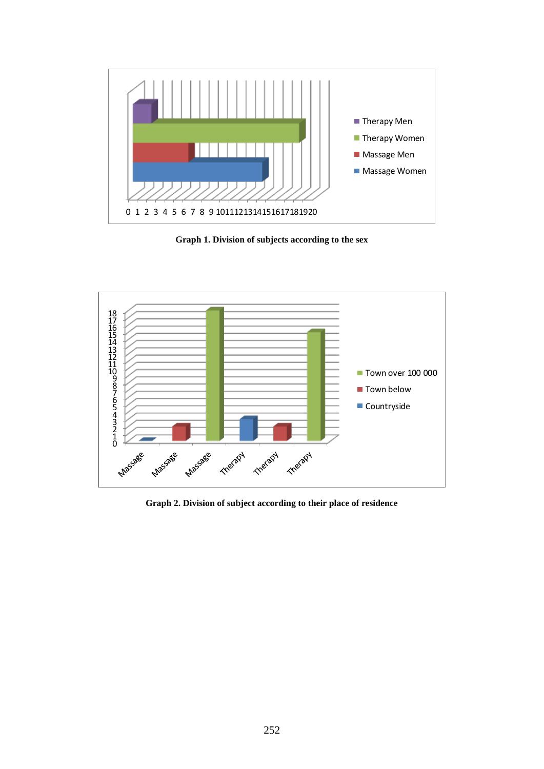

**Graph 1. Division of subjects according to the sex**



**Graph 2. Division of subject according to their place of residence**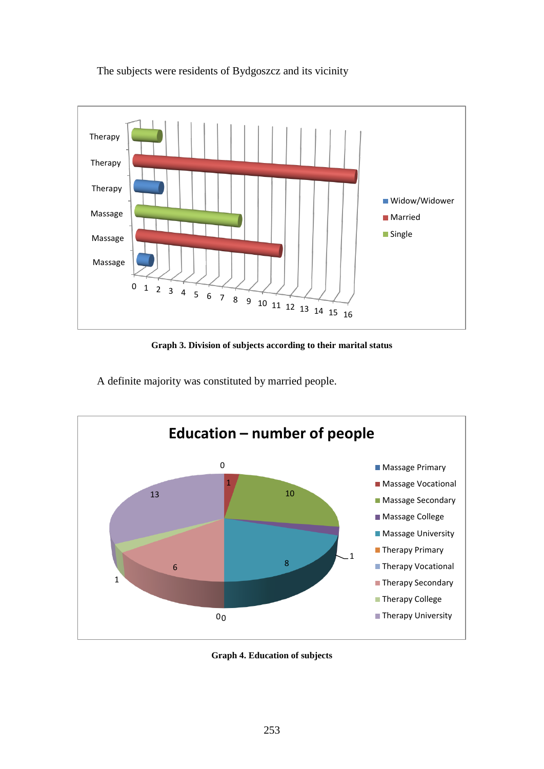The subjects were residents of Bydgoszcz and its vicinity



**Graph 3. Division of subjects according to their marital status**

A definite majority was constituted by married people.



**Graph 4. Education of subjects**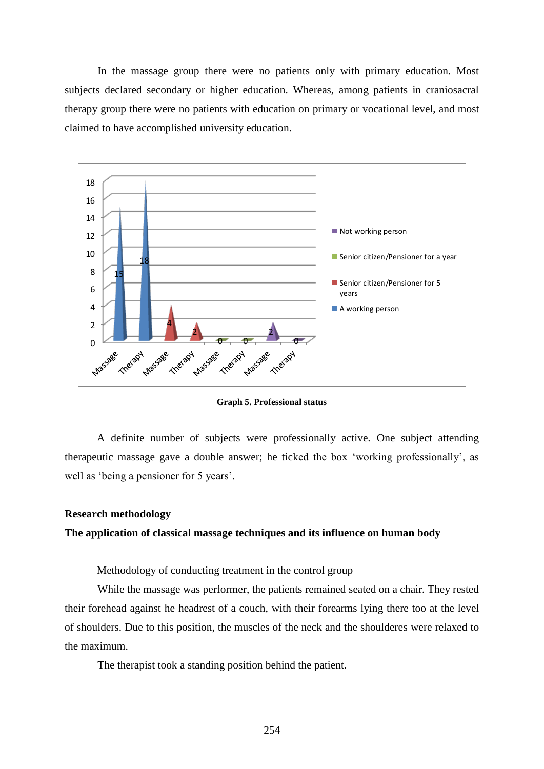In the massage group there were no patients only with primary education. Most subjects declared secondary or higher education. Whereas, among patients in craniosacral therapy group there were no patients with education on primary or vocational level, and most claimed to have accomplished university education.



**Graph 5. Professional status** 

A definite number of subjects were professionally active. One subject attending therapeutic massage gave a double answer; he ticked the box 'working professionally', as well as 'being a pensioner for 5 years'.

## **Research methodology**

### **The application of classical massage techniques and its influence on human body**

Methodology of conducting treatment in the control group

While the massage was performer, the patients remained seated on a chair. They rested their forehead against he headrest of a couch, with their forearms lying there too at the level of shoulders. Due to this position, the muscles of the neck and the shoulderes were relaxed to the maximum.

The therapist took a standing position behind the patient.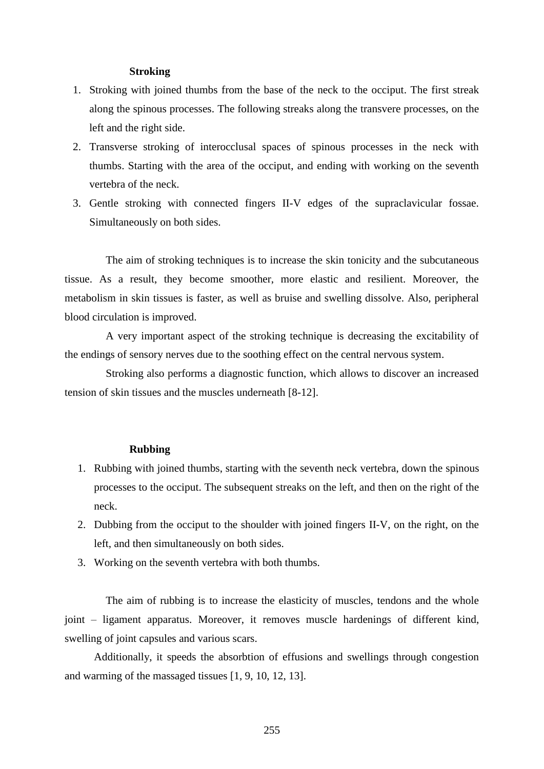### **Stroking**

- 1. Stroking with joined thumbs from the base of the neck to the occiput. The first streak along the spinous processes. The following streaks along the transvere processes, on the left and the right side.
- 2. Transverse stroking of interocclusal spaces of spinous processes in the neck with thumbs. Starting with the area of the occiput, and ending with working on the seventh vertebra of the neck.
- 3. Gentle stroking with connected fingers II-V edges of the supraclavicular fossae. Simultaneously on both sides.

The aim of stroking techniques is to increase the skin tonicity and the subcutaneous tissue. As a result, they become smoother, more elastic and resilient. Moreover, the metabolism in skin tissues is faster, as well as bruise and swelling dissolve. Also, peripheral blood circulation is improved.

A very important aspect of the stroking technique is decreasing the excitability of the endings of sensory nerves due to the soothing effect on the central nervous system.

Stroking also performs a diagnostic function, which allows to discover an increased tension of skin tissues and the muscles underneath [8-12].

### **Rubbing**

- 1. Rubbing with joined thumbs, starting with the seventh neck vertebra, down the spinous processes to the occiput. The subsequent streaks on the left, and then on the right of the neck.
- 2. Dubbing from the occiput to the shoulder with joined fingers II-V, on the right, on the left, and then simultaneously on both sides.
- 3. Working on the seventh vertebra with both thumbs.

The aim of rubbing is to increase the elasticity of muscles, tendons and the whole joint – ligament apparatus. Moreover, it removes muscle hardenings of different kind, swelling of joint capsules and various scars.

Additionally, it speeds the absorbtion of effusions and swellings through congestion and warming of the massaged tissues [1, 9, 10, 12, 13].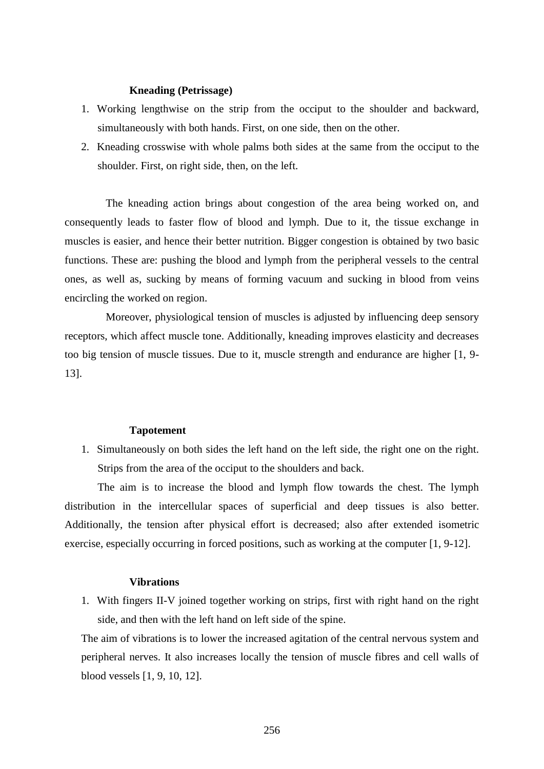## **Kneading (Petrissage)**

- 1. Working lengthwise on the strip from the occiput to the shoulder and backward, simultaneously with both hands. First, on one side, then on the other.
- 2. Kneading crosswise with whole palms both sides at the same from the occiput to the shoulder. First, on right side, then, on the left.

The kneading action brings about congestion of the area being worked on, and consequently leads to faster flow of blood and lymph. Due to it, the tissue exchange in muscles is easier, and hence their better nutrition. Bigger congestion is obtained by two basic functions. These are: pushing the blood and lymph from the peripheral vessels to the central ones, as well as, sucking by means of forming vacuum and sucking in blood from veins encircling the worked on region.

Moreover, physiological tension of muscles is adjusted by influencing deep sensory receptors, which affect muscle tone. Additionally, kneading improves elasticity and decreases too big tension of muscle tissues. Due to it, muscle strength and endurance are higher [1, 9- 13].

#### **Tapotement**

1. Simultaneously on both sides the left hand on the left side, the right one on the right. Strips from the area of the occiput to the shoulders and back.

The aim is to increase the blood and lymph flow towards the chest. The lymph distribution in the intercellular spaces of superficial and deep tissues is also better. Additionally, the tension after physical effort is decreased; also after extended isometric exercise, especially occurring in forced positions, such as working at the computer [1, 9-12].

### **Vibrations**

1. With fingers II-V joined together working on strips, first with right hand on the right side, and then with the left hand on left side of the spine.

The aim of vibrations is to lower the increased agitation of the central nervous system and peripheral nerves. It also increases locally the tension of muscle fibres and cell walls of blood vessels [1, 9, 10, 12].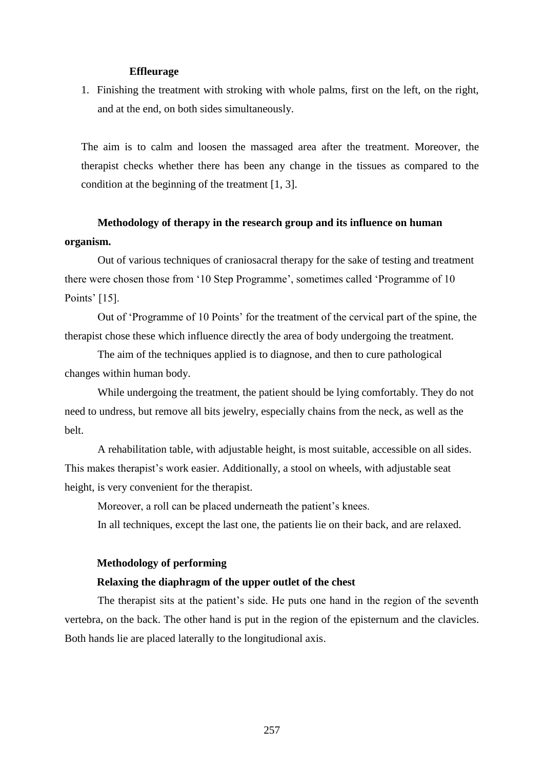### **Effleurage**

1. Finishing the treatment with stroking with whole palms, first on the left, on the right, and at the end, on both sides simultaneously.

The aim is to calm and loosen the massaged area after the treatment. Moreover, the therapist checks whether there has been any change in the tissues as compared to the condition at the beginning of the treatment [1, 3].

# **Methodology of therapy in the research group and its influence on human organism.**

Out of various techniques of craniosacral therapy for the sake of testing and treatment there were chosen those from '10 Step Programme', sometimes called 'Programme of 10 Points' [15].

Out of 'Programme of 10 Points' for the treatment of the cervical part of the spine, the therapist chose these which influence directly the area of body undergoing the treatment.

The aim of the techniques applied is to diagnose, and then to cure pathological changes within human body.

While undergoing the treatment, the patient should be lying comfortably. They do not need to undress, but remove all bits jewelry, especially chains from the neck, as well as the belt.

A rehabilitation table, with adjustable height, is most suitable, accessible on all sides. This makes therapist's work easier. Additionally, a stool on wheels, with adjustable seat height, is very convenient for the therapist.

Moreover, a roll can be placed underneath the patient's knees. In all techniques, except the last one, the patients lie on their back, and are relaxed.

### **Methodology of performing**

### **Relaxing the diaphragm of the upper outlet of the chest**

The therapist sits at the patient's side. He puts one hand in the region of the seventh vertebra, on the back. The other hand is put in the region of the episternum and the clavicles. Both hands lie are placed laterally to the longitudional axis.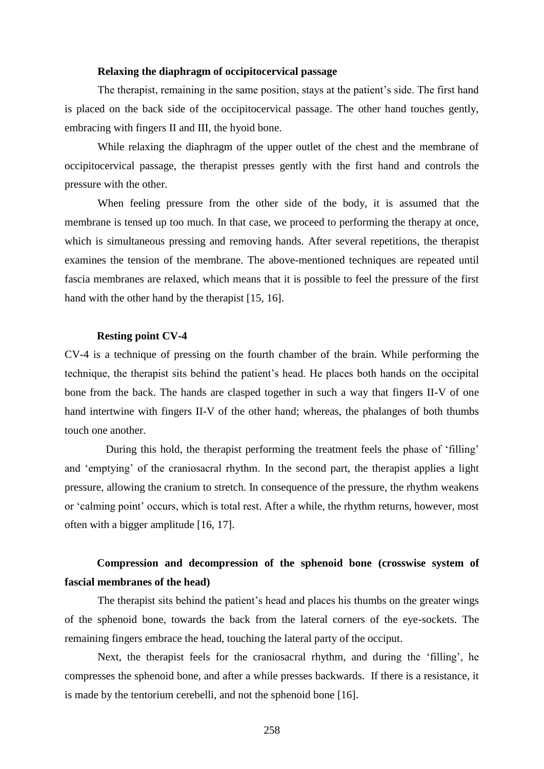### **Relaxing the diaphragm of occipitocervical passage**

The therapist, remaining in the same position, stays at the patient's side. The first hand is placed on the back side of the occipitocervical passage. The other hand touches gently, embracing with fingers II and III, the hyoid bone.

While relaxing the diaphragm of the upper outlet of the chest and the membrane of occipitocervical passage, the therapist presses gently with the first hand and controls the pressure with the other.

When feeling pressure from the other side of the body, it is assumed that the membrane is tensed up too much. In that case, we proceed to performing the therapy at once, which is simultaneous pressing and removing hands. After several repetitions, the therapist examines the tension of the membrane. The above-mentioned techniques are repeated until fascia membranes are relaxed, which means that it is possible to feel the pressure of the first hand with the other hand by the therapist [15, 16].

### **Resting point CV-4**

CV-4 is a technique of pressing on the fourth chamber of the brain. While performing the technique, the therapist sits behind the patient's head. He places both hands on the occipital bone from the back. The hands are clasped together in such a way that fingers II-V of one hand intertwine with fingers II-V of the other hand; whereas, the phalanges of both thumbs touch one another.

During this hold, the therapist performing the treatment feels the phase of 'filling' and 'emptying' of the craniosacral rhythm. In the second part, the therapist applies a light pressure, allowing the cranium to stretch. In consequence of the pressure, the rhythm weakens or 'calming point' occurs, which is total rest. After a while, the rhythm returns, however, most often with a bigger amplitude [16, 17].

# **Compression and decompression of the sphenoid bone (crosswise system of fascial membranes of the head)**

The therapist sits behind the patient's head and places his thumbs on the greater wings of the sphenoid bone, towards the back from the lateral corners of the eye-sockets. The remaining fingers embrace the head, touching the lateral party of the occiput.

Next, the therapist feels for the craniosacral rhythm, and during the 'filling', he compresses the sphenoid bone, and after a while presses backwards. If there is a resistance, it is made by the tentorium cerebelli, and not the sphenoid bone [16].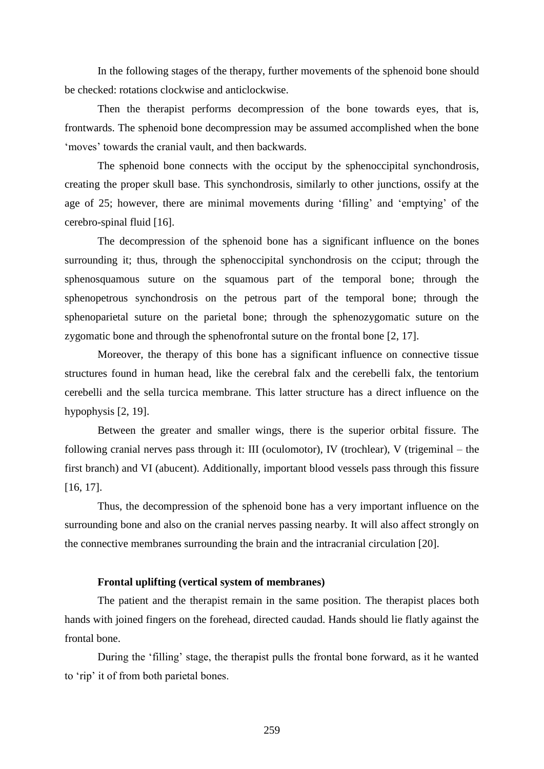In the following stages of the therapy, further movements of the sphenoid bone should be checked: rotations clockwise and anticlockwise.

Then the therapist performs decompression of the bone towards eyes, that is, frontwards. The sphenoid bone decompression may be assumed accomplished when the bone 'moves' towards the cranial vault, and then backwards.

The sphenoid bone connects with the occiput by the sphenoccipital synchondrosis, creating the proper skull base. This synchondrosis, similarly to other junctions, ossify at the age of 25; however, there are minimal movements during 'filling' and 'emptying' of the cerebro-spinal fluid [16].

The decompression of the sphenoid bone has a significant influence on the bones surrounding it; thus, through the sphenoccipital synchondrosis on the cciput; through the sphenosquamous suture on the squamous part of the temporal bone; through the sphenopetrous synchondrosis on the petrous part of the temporal bone; through the sphenoparietal suture on the parietal bone; through the sphenozygomatic suture on the zygomatic bone and through the sphenofrontal suture on the frontal bone [2, 17].

Moreover, the therapy of this bone has a significant influence on connective tissue structures found in human head, like the cerebral falx and the cerebelli falx, the tentorium cerebelli and the sella turcica membrane. This latter structure has a direct influence on the hypophysis [2, 19].

Between the greater and smaller wings, there is the superior orbital fissure. The following cranial nerves pass through it: III (oculomotor), IV (trochlear), V (trigeminal – the first branch) and VI (abucent). Additionally, important blood vessels pass through this fissure [16, 17].

Thus, the decompression of the sphenoid bone has a very important influence on the surrounding bone and also on the cranial nerves passing nearby. It will also affect strongly on the connective membranes surrounding the brain and the intracranial circulation [20].

## **Frontal uplifting (vertical system of membranes)**

The patient and the therapist remain in the same position. The therapist places both hands with joined fingers on the forehead, directed caudad. Hands should lie flatly against the frontal bone.

During the 'filling' stage, the therapist pulls the frontal bone forward, as it he wanted to 'rip' it of from both parietal bones.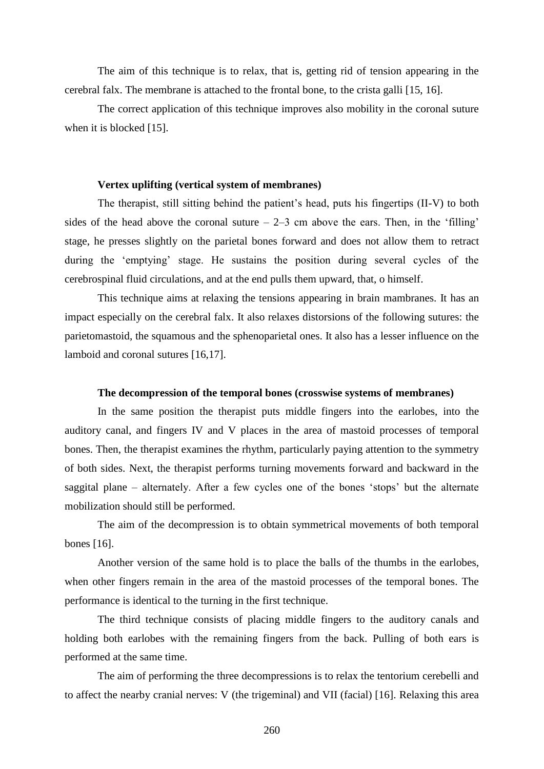The aim of this technique is to relax, that is, getting rid of tension appearing in the cerebral falx. The membrane is attached to the frontal bone, to the crista galli [15, 16].

The correct application of this technique improves also mobility in the coronal suture when it is blocked [15].

### **Vertex uplifting (vertical system of membranes)**

The therapist, still sitting behind the patient's head, puts his fingertips (II-V) to both sides of the head above the coronal suture  $-2-3$  cm above the ears. Then, in the 'filling' stage, he presses slightly on the parietal bones forward and does not allow them to retract during the 'emptying' stage. He sustains the position during several cycles of the cerebrospinal fluid circulations, and at the end pulls them upward, that, o himself.

This technique aims at relaxing the tensions appearing in brain mambranes. It has an impact especially on the cerebral falx. It also relaxes distorsions of the following sutures: the parietomastoid, the squamous and the sphenoparietal ones. It also has a lesser influence on the lamboid and coronal sutures [16,17].

### **The decompression of the temporal bones (crosswise systems of membranes)**

In the same position the therapist puts middle fingers into the earlobes, into the auditory canal, and fingers IV and V places in the area of mastoid processes of temporal bones. Then, the therapist examines the rhythm, particularly paying attention to the symmetry of both sides. Next, the therapist performs turning movements forward and backward in the saggital plane – alternately. After a few cycles one of the bones 'stops' but the alternate mobilization should still be performed.

The aim of the decompression is to obtain symmetrical movements of both temporal bones [16].

Another version of the same hold is to place the balls of the thumbs in the earlobes, when other fingers remain in the area of the mastoid processes of the temporal bones. The performance is identical to the turning in the first technique.

The third technique consists of placing middle fingers to the auditory canals and holding both earlobes with the remaining fingers from the back. Pulling of both ears is performed at the same time.

The aim of performing the three decompressions is to relax the tentorium cerebelli and to affect the nearby cranial nerves: V (the trigeminal) and VII (facial) [16]. Relaxing this area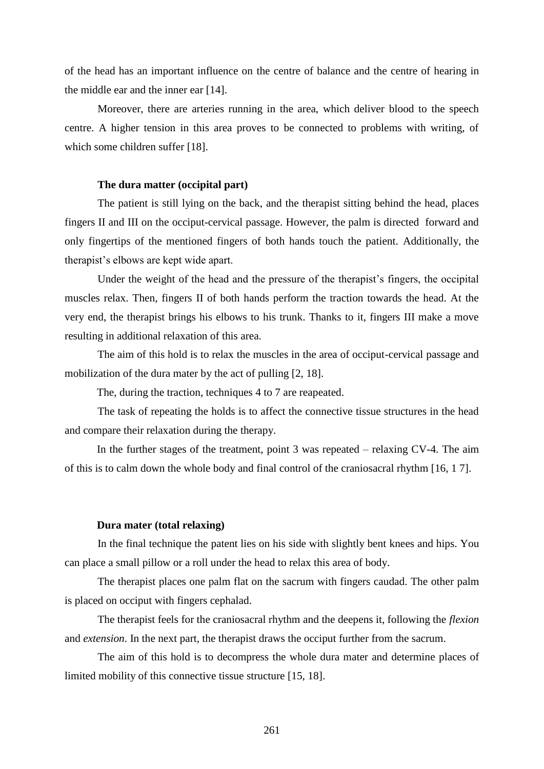of the head has an important influence on the centre of balance and the centre of hearing in the middle ear and the inner ear [14].

Moreover, there are arteries running in the area, which deliver blood to the speech centre. A higher tension in this area proves to be connected to problems with writing, of which some children suffer [18].

### **The dura matter (occipital part)**

The patient is still lying on the back, and the therapist sitting behind the head, places fingers II and III on the occiput-cervical passage. However, the palm is directed forward and only fingertips of the mentioned fingers of both hands touch the patient. Additionally, the therapist's elbows are kept wide apart.

Under the weight of the head and the pressure of the therapist's fingers, the occipital muscles relax. Then, fingers II of both hands perform the traction towards the head. At the very end, the therapist brings his elbows to his trunk. Thanks to it, fingers III make a move resulting in additional relaxation of this area.

The aim of this hold is to relax the muscles in the area of occiput-cervical passage and mobilization of the dura mater by the act of pulling [2, 18].

The, during the traction, techniques 4 to 7 are reapeated.

The task of repeating the holds is to affect the connective tissue structures in the head and compare their relaxation during the therapy.

In the further stages of the treatment, point 3 was repeated – relaxing CV-4. The aim of this is to calm down the whole body and final control of the craniosacral rhythm [16, 1 7].

### **Dura mater (total relaxing)**

In the final technique the patent lies on his side with slightly bent knees and hips. You can place a small pillow or a roll under the head to relax this area of body.

The therapist places one palm flat on the sacrum with fingers caudad. The other palm is placed on occiput with fingers cephalad.

The therapist feels for the craniosacral rhythm and the deepens it, following the *flexion* and *extension*. In the next part, the therapist draws the occiput further from the sacrum.

The aim of this hold is to decompress the whole dura mater and determine places of limited mobility of this connective tissue structure [15, 18].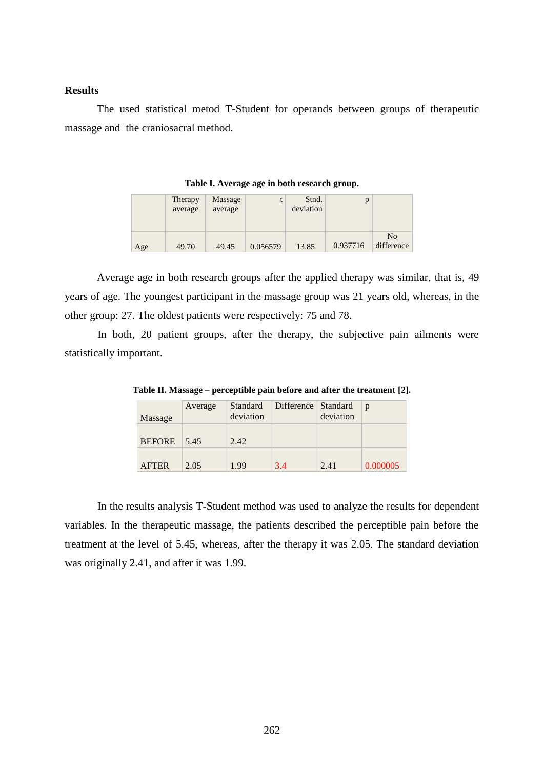## **Results**

The used statistical metod T-Student for operands between groups of therapeutic massage and the craniosacral method.

|     | Therapy<br>average | Massage<br>average |          | Stnd.<br>deviation |          |                              |
|-----|--------------------|--------------------|----------|--------------------|----------|------------------------------|
| Age | 49.70              | 49.45              | 0.056579 | 13.85              | 0.937716 | N <sub>0</sub><br>difference |

**Table I. Average age in both research group.**

Average age in both research groups after the applied therapy was similar, that is, 49 years of age. The youngest participant in the massage group was 21 years old, whereas, in the other group: 27. The oldest patients were respectively: 75 and 78.

In both, 20 patient groups, after the therapy, the subjective pain ailments were statistically important.

| Massage       | Average            | Standard<br>deviation | Difference Standard | deviation | p        |
|---------------|--------------------|-----------------------|---------------------|-----------|----------|
| <b>BEFORE</b> | $\frac{5.45}{5.5}$ | 2.42                  |                     |           |          |
| <b>AFTER</b>  | 2.05               | 1.99                  | 3.4                 | 2.41      | 0.000005 |

**Table II. Massage – perceptible pain before and after the treatment [2].**

In the results analysis T-Student method was used to analyze the results for dependent variables. In the therapeutic massage, the patients described the perceptible pain before the treatment at the level of 5.45, whereas, after the therapy it was 2.05. The standard deviation was originally 2.41, and after it was 1.99.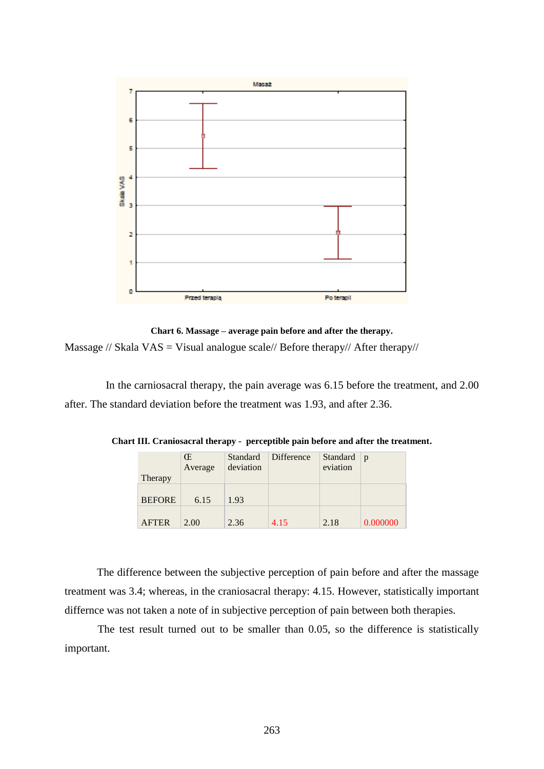

**Chart 6. Massage – average pain before and after the therapy.** Massage // Skala VAS = Visual analogue scale// Before therapy// After therapy//

In the carniosacral therapy, the pain average was 6.15 before the treatment, and 2.00 after. The standard deviation before the treatment was 1.93, and after 2.36.

|               | Œ       | Standard  | Difference | Standard $ p $ |          |
|---------------|---------|-----------|------------|----------------|----------|
|               | Average | deviation |            | eviation       |          |
| Therapy       |         |           |            |                |          |
|               |         |           |            |                |          |
| <b>BEFORE</b> | 6.15    | 1.93      |            |                |          |
|               |         |           |            |                |          |
| <b>AFTER</b>  | 2.00    | 2.36      | 4.15       | 2.18           | 0.000000 |

**Chart III. Craniosacral therapy - perceptible pain before and after the treatment.**

The difference between the subjective perception of pain before and after the massage treatment was 3.4; whereas, in the craniosacral therapy: 4.15. However, statistically important differnce was not taken a note of in subjective perception of pain between both therapies.

The test result turned out to be smaller than 0.05, so the difference is statistically important.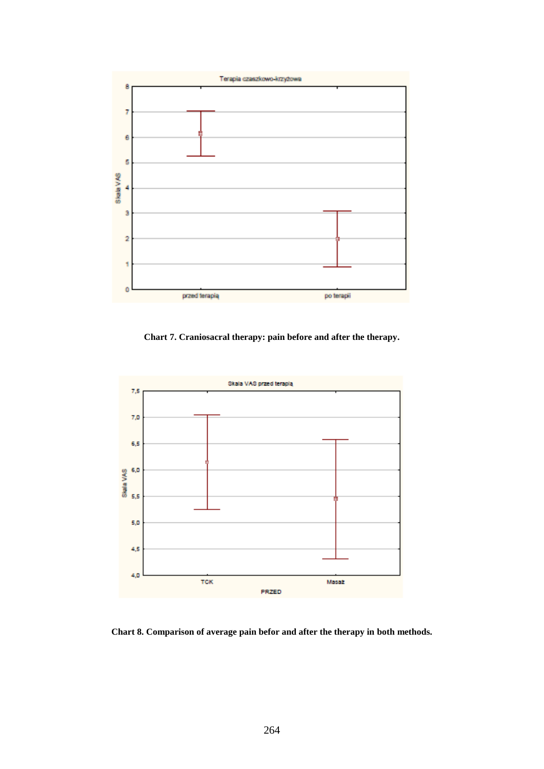

**Chart 7. Craniosacral therapy: pain before and after the therapy.**



**Chart 8. Comparison of average pain befor and after the therapy in both methods.**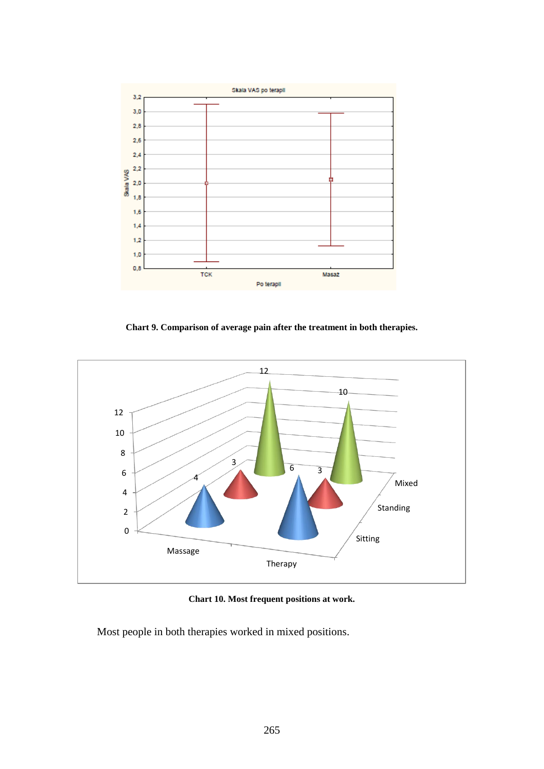

**Chart 9. Comparison of average pain after the treatment in both therapies.**



**Chart 10. Most frequent positions at work.**

Most people in both therapies worked in mixed positions.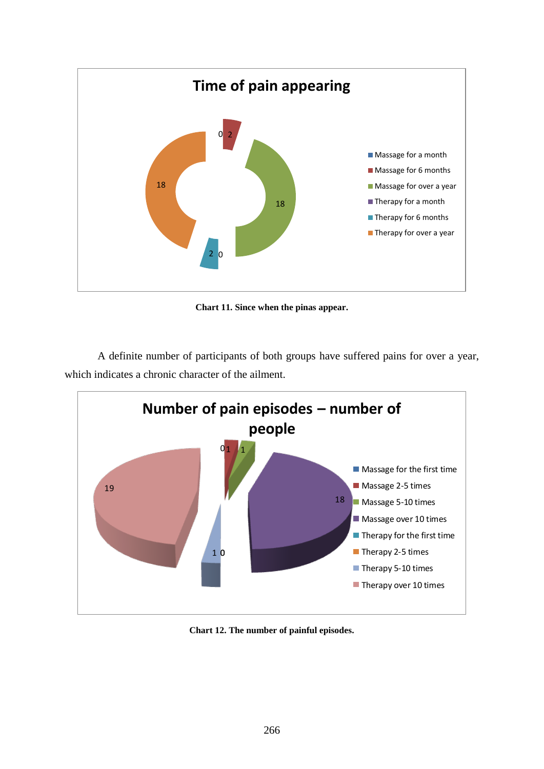

**Chart 11. Since when the pinas appear.**

A definite number of participants of both groups have suffered pains for over a year, which indicates a chronic character of the ailment.



**Chart 12. The number of painful episodes.**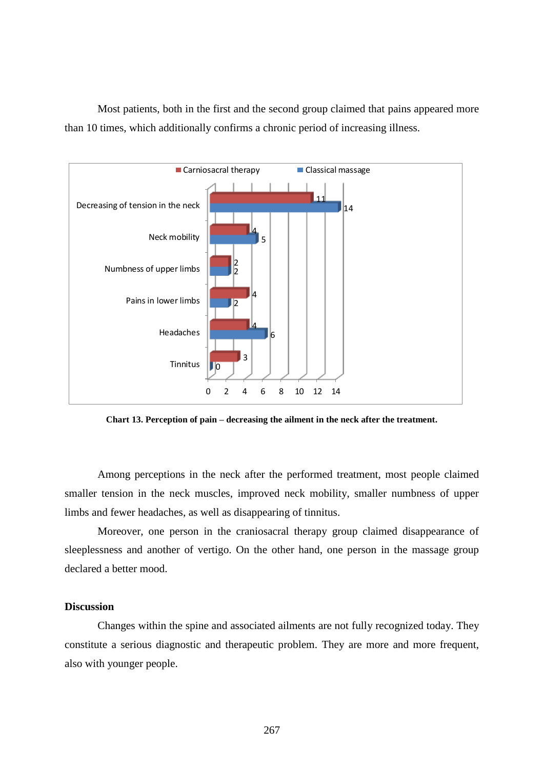Most patients, both in the first and the second group claimed that pains appeared more than 10 times, which additionally confirms a chronic period of increasing illness.



**Chart 13. Perception of pain – decreasing the ailment in the neck after the treatment.**

Among perceptions in the neck after the performed treatment, most people claimed smaller tension in the neck muscles, improved neck mobility, smaller numbness of upper limbs and fewer headaches, as well as disappearing of tinnitus.

Moreover, one person in the craniosacral therapy group claimed disappearance of sleeplessness and another of vertigo. On the other hand, one person in the massage group declared a better mood.

## **Discussion**

Changes within the spine and associated ailments are not fully recognized today. They constitute a serious diagnostic and therapeutic problem. They are more and more frequent, also with younger people.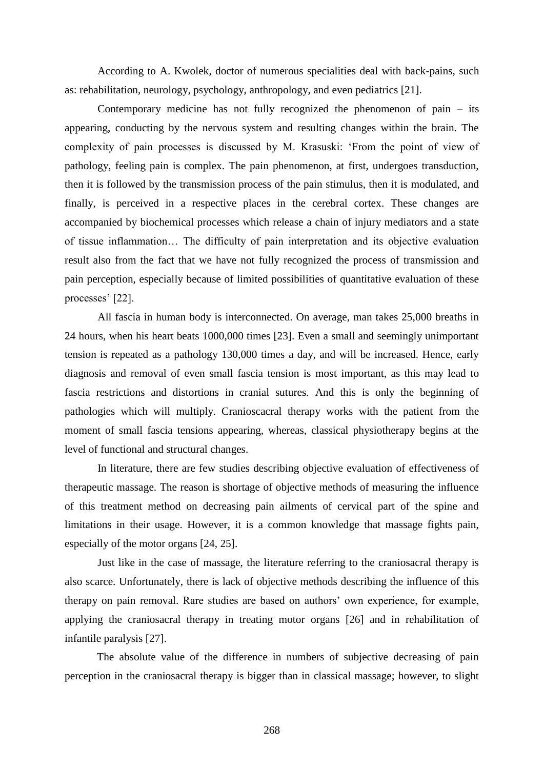According to A. Kwolek, doctor of numerous specialities deal with back-pains, such as: rehabilitation, neurology, psychology, anthropology, and even pediatrics [21].

Contemporary medicine has not fully recognized the phenomenon of pain – its appearing, conducting by the nervous system and resulting changes within the brain. The complexity of pain processes is discussed by M. Krasuski: 'From the point of view of pathology, feeling pain is complex. The pain phenomenon, at first, undergoes transduction, then it is followed by the transmission process of the pain stimulus, then it is modulated, and finally, is perceived in a respective places in the cerebral cortex. These changes are accompanied by biochemical processes which release a chain of injury mediators and a state of tissue inflammation… The difficulty of pain interpretation and its objective evaluation result also from the fact that we have not fully recognized the process of transmission and pain perception, especially because of limited possibilities of quantitative evaluation of these processes' [22].

All fascia in human body is interconnected. On average, man takes 25,000 breaths in 24 hours, when his heart beats 1000,000 times [23]. Even a small and seemingly unimportant tension is repeated as a pathology 130,000 times a day, and will be increased. Hence, early diagnosis and removal of even small fascia tension is most important, as this may lead to fascia restrictions and distortions in cranial sutures. And this is only the beginning of pathologies which will multiply. Cranioscacral therapy works with the patient from the moment of small fascia tensions appearing, whereas, classical physiotherapy begins at the level of functional and structural changes.

In literature, there are few studies describing objective evaluation of effectiveness of therapeutic massage. The reason is shortage of objective methods of measuring the influence of this treatment method on decreasing pain ailments of cervical part of the spine and limitations in their usage. However, it is a common knowledge that massage fights pain, especially of the motor organs [24, 25].

Just like in the case of massage, the literature referring to the craniosacral therapy is also scarce. Unfortunately, there is lack of objective methods describing the influence of this therapy on pain removal. Rare studies are based on authors' own experience, for example, applying the craniosacral therapy in treating motor organs [26] and in rehabilitation of infantile paralysis [27].

The absolute value of the difference in numbers of subjective decreasing of pain perception in the craniosacral therapy is bigger than in classical massage; however, to slight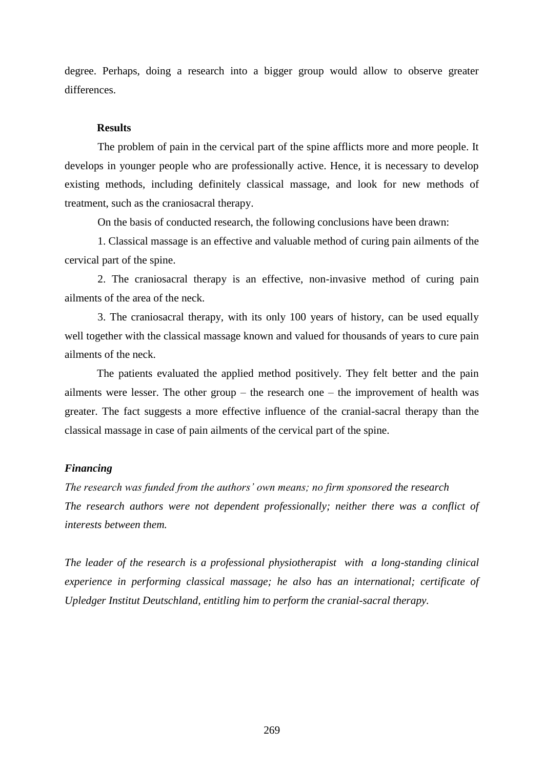degree. Perhaps, doing a research into a bigger group would allow to observe greater differences.

### **Results**

The problem of pain in the cervical part of the spine afflicts more and more people. It develops in younger people who are professionally active. Hence, it is necessary to develop existing methods, including definitely classical massage, and look for new methods of treatment, such as the craniosacral therapy.

On the basis of conducted research, the following conclusions have been drawn:

1. Classical massage is an effective and valuable method of curing pain ailments of the cervical part of the spine.

2. The craniosacral therapy is an effective, non-invasive method of curing pain ailments of the area of the neck.

3. The craniosacral therapy, with its only 100 years of history, can be used equally well together with the classical massage known and valued for thousands of years to cure pain ailments of the neck.

The patients evaluated the applied method positively. They felt better and the pain ailments were lesser. The other group – the research one – the improvement of health was greater. The fact suggests a more effective influence of the cranial-sacral therapy than the classical massage in case of pain ailments of the cervical part of the spine.

### *Financing*

*The research was funded from the authors' own means; no firm sponsored the research The research authors were not dependent professionally; neither there was a conflict of interests between them.*

*The leader of the research is a professional physiotherapist with a long-standing clinical experience in performing classical massage; he also has an international; certificate of Upledger Institut Deutschland, entitling him to perform the cranial-sacral therapy.*